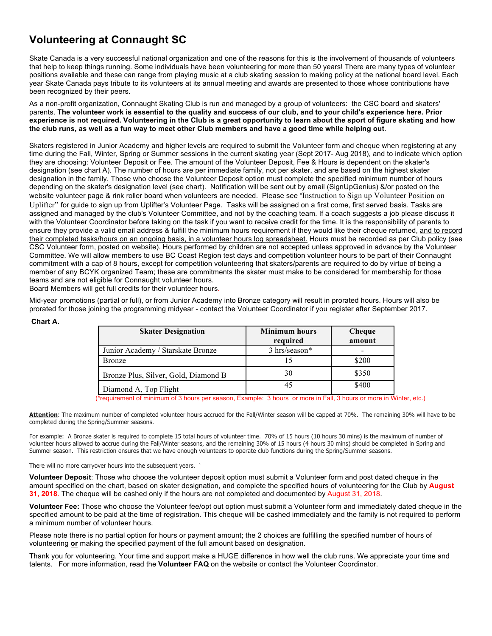# **Volunteering at Connaught SC**

Skate Canada is a very successful national organization and one of the reasons for this is the involvement of thousands of volunteers that help to keep things running. Some individuals have been volunteering for more than 50 years! There are many types of volunteer positions available and these can range from playing music at a club skating session to making policy at the national board level. Each year Skate Canada pays tribute to its volunteers at its annual meeting and awards are presented to those whose contributions have been recognized by their peers.

As a non-profit organization, Connaught Skating Club is run and managed by a group of volunteers: the CSC board and skaters' parents. **The volunteer work is essential to the quality and success of our club, and to your child's experience here. Prior experience is not required. Volunteering in the Club is a great opportunity to learn about the sport of figure skating and how the club runs, as well as a fun way to meet other Club members and have a good time while helping out**.

Skaters registered in Junior Academy and higher levels are required to submit the Volunteer form and cheque when registering at any time during the Fall, Winter, Spring or Summer sessions in the current skating year (Sept 2017- Aug 2018), and to indicate which option they are choosing: Volunteer Deposit or Fee. The amount of the Volunteer Deposit, Fee & Hours is dependent on the skater's designation (see chart A). The number of hours are per immediate family, not per skater, and are based on the highest skater designation in the family. Those who choose the Volunteer Deposit option must complete the specified minimum number of hours depending on the skater's designation level (see chart). Notification will be sent out by email (SignUpGenius) &/or posted on the website volunteer page & rink roller board when volunteers are needed. Please see "Instruction to Sign up Volunteer Position on Uplifter" for guide to sign up from Uplifter's Volunteer Page. Tasks will be assigned on a first come, first served basis. Tasks are assigned and managed by the club's Volunteer Committee, and not by the coaching team. If a coach suggests a job please discuss it with the Volunteer Coordinator before taking on the task if you want to receive credit for the time. It is the responsibility of parents to ensure they provide a valid email address & fulfill the minimum hours requirement if they would like their cheque returned, and to record their completed tasks/hours on an ongoing basis, in a volunteer hours log spreadsheet. Hours must be recorded as per Club policy (see CSC Volunteer form, posted on website). Hours performed by children are not accepted unless approved in advance by the Volunteer Committee. We will allow members to use BC Coast Region test days and competition volunteer hours to be part of their Connaught commitment with a cap of 8 hours, except for competition volunteering that skaters/parents are required to do by virtue of being a member of any BCYK organized Team; these are commitments the skater must make to be considered for membership for those teams and are not eligible for Connaught volunteer hours.

Board Members will get full credits for their volunteer hours.

Mid-year promotions (partial or full), or from Junior Academy into Bronze category will result in prorated hours. Hours will also be prorated for those joining the programming midyear - contact the Volunteer Coordinator if you register after September 2017.

| <b>Skater Designation</b>            | <b>Minimum hours</b><br>required | Cheque<br>amount |
|--------------------------------------|----------------------------------|------------------|
| Junior Academy / Starskate Bronze    | 3 hrs/season*                    | $\qquad \qquad$  |
| <b>Bronze</b>                        |                                  | \$200            |
| Bronze Plus, Silver, Gold, Diamond B | 30                               | \$350            |
| Diamond A, Top Flight                | 45                               | \$400            |

### **Chart A.**

(\*requirement of minimum of 3 hours per season, Example: 3 hours or more in Fall, 3 hours or more in Winter, etc.)

**Attention**: The maximum number of completed volunteer hours accrued for the Fall/Winter season will be capped at 70%. The remaining 30% will have to be completed during the Spring/Summer seasons.

For example: A Bronze skater is required to complete 15 total hours of volunteer time. 70% of 15 hours (10 hours 30 mins) is the maximum of number of volunteer hours allowed to accrue during the Fall/Winter seasons, and the remaining 30% of 15 hours (4 hours 30 mins) should be completed in Spring and Summer season. This restriction ensures that we have enough volunteers to operate club functions during the Spring/Summer seasons.

There will no more carryover hours into the subsequent years. **`**

**Volunteer Deposit**: Those who choose the volunteer deposit option must submit a Volunteer form and post dated cheque in the amount specified on the chart, based on skater designation, and complete the specified hours of volunteering for the Club by **August 31, 2018**. The cheque will be cashed only if the hours are not completed and documented by August 31, 2018.

**Volunteer Fee:** Those who choose the Volunteer fee/opt out option must submit a Volunteer form and immediately dated cheque in the specified amount to be paid at the time of registration. This cheque will be cashed immediately and the family is not required to perform a minimum number of volunteer hours.

Please note there is no partial option for hours or payment amount; the 2 choices are fulfilling the specified number of hours of volunteering **or** making the specified payment of the full amount based on designation.

Thank you for volunteering. Your time and support make a HUGE difference in how well the club runs. We appreciate your time and talents. For more information, read the **Volunteer FAQ** on the website or contact the Volunteer Coordinator.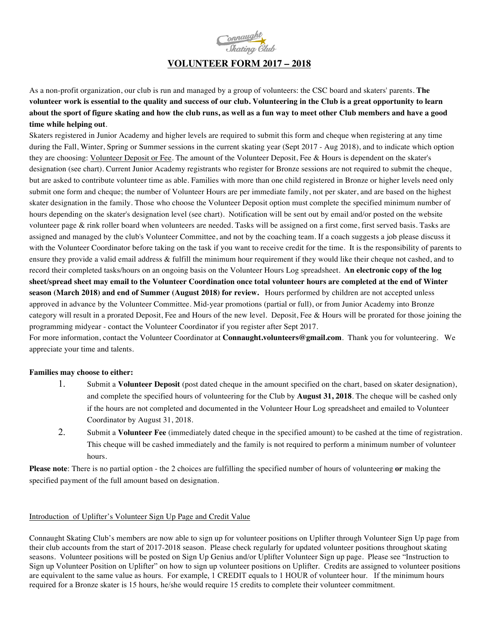

# **VOLUNTEER FORM 2017 – 2018**

As a non-profit organization, our club is run and managed by a group of volunteers: the CSC board and skaters' parents. **The volunteer work is essential to the quality and success of our club. Volunteering in the Club is a great opportunity to learn about the sport of figure skating and how the club runs, as well as a fun way to meet other Club members and have a good time while helping out**.

Skaters registered in Junior Academy and higher levels are required to submit this form and cheque when registering at any time during the Fall, Winter, Spring or Summer sessions in the current skating year (Sept 2017 - Aug 2018), and to indicate which option they are choosing: Volunteer Deposit or Fee. The amount of the Volunteer Deposit, Fee & Hours is dependent on the skater's designation (see chart). Current Junior Academy registrants who register for Bronze sessions are not required to submit the cheque, but are asked to contribute volunteer time as able. Families with more than one child registered in Bronze or higher levels need only submit one form and cheque; the number of Volunteer Hours are per immediate family, not per skater, and are based on the highest skater designation in the family. Those who choose the Volunteer Deposit option must complete the specified minimum number of hours depending on the skater's designation level (see chart). Notification will be sent out by email and/or posted on the website volunteer page & rink roller board when volunteers are needed. Tasks will be assigned on a first come, first served basis. Tasks are assigned and managed by the club's Volunteer Committee, and not by the coaching team. If a coach suggests a job please discuss it with the Volunteer Coordinator before taking on the task if you want to receive credit for the time. It is the responsibility of parents to ensure they provide a valid email address & fulfill the minimum hour requirement if they would like their cheque not cashed, and to record their completed tasks/hours on an ongoing basis on the Volunteer Hours Log spreadsheet. **An electronic copy of the log sheet/spread sheet may email to the Volunteer Coordination once total volunteer hours are completed at the end of Winter season (March 2018) and end of Summer (August 2018) for review.** Hours performed by children are not accepted unless approved in advance by the Volunteer Committee. Mid-year promotions (partial or full), or from Junior Academy into Bronze category will result in a prorated Deposit, Fee and Hours of the new level. Deposit, Fee & Hours will be prorated for those joining the programming midyear - contact the Volunteer Coordinator if you register after Sept 2017.

For more information, contact the Volunteer Coordinator at **Connaught.volunteers@gmail.com**. Thank you for volunteering. We appreciate your time and talents.

#### **Families may choose to either:**

- 1. Submit a **Volunteer Deposit** (post dated cheque in the amount specified on the chart, based on skater designation), and complete the specified hours of volunteering for the Club by **August 31, 2018**. The cheque will be cashed only if the hours are not completed and documented in the Volunteer Hour Log spreadsheet and emailed to Volunteer Coordinator by August 31, 2018.
- 2. Submit a **Volunteer Fee** (immediately dated cheque in the specified amount) to be cashed at the time of registration. This cheque will be cashed immediately and the family is not required to perform a minimum number of volunteer hours.

**Please note**: There is no partial option - the 2 choices are fulfilling the specified number of hours of volunteering **or** making the specified payment of the full amount based on designation.

## Introduction of Uplifter's Volunteer Sign Up Page and Credit Value

Connaught Skating Club's members are now able to sign up for volunteer positions on Uplifter through Volunteer Sign Up page from their club accounts from the start of 2017-2018 season. Please check regularly for updated volunteer positions throughout skating seasons. Volunteer positions will be posted on Sign Up Genius and/or Uplifter Volunteer Sign up page. Please see "Instruction to Sign up Volunteer Position on Uplifter" on how to sign up volunteer positions on Uplifter. Credits are assigned to volunteer positions are equivalent to the same value as hours. For example, 1 CREDIT equals to 1 HOUR of volunteer hour. If the minimum hours required for a Bronze skater is 15 hours, he/she would require 15 credits to complete their volunteer commitment.